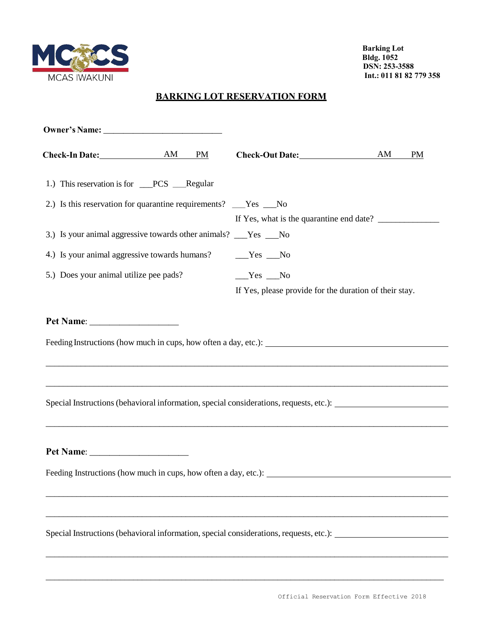

 **Barking Lot Bldg. 1052 DSN: 253-3588 Int.: 011 81 82 779 358**

## **BARKING LOT RESERVATION FORM**

| Check-In Date: AM<br><b>PM</b>                                                                                                                                                                                                          |                                                        | AM<br><b>PM</b> |
|-----------------------------------------------------------------------------------------------------------------------------------------------------------------------------------------------------------------------------------------|--------------------------------------------------------|-----------------|
| 1.) This reservation is for __PCS __Regular                                                                                                                                                                                             |                                                        |                 |
| 2.) Is this reservation for quarantine requirements? ___Yes ___No                                                                                                                                                                       |                                                        |                 |
|                                                                                                                                                                                                                                         |                                                        |                 |
| 3.) Is your animal aggressive towards other animals? ___Yes No                                                                                                                                                                          |                                                        |                 |
| 4.) Is your animal aggressive towards humans?                                                                                                                                                                                           | $Yes$ No                                               |                 |
| 5.) Does your animal utilize pee pads?                                                                                                                                                                                                  | $Yes$ No                                               |                 |
|                                                                                                                                                                                                                                         | If Yes, please provide for the duration of their stay. |                 |
| Special Instructions (behavioral information, special considerations, requests, etc.): _______________________                                                                                                                          |                                                        |                 |
| Pet Name:<br>Feeding Instructions (how much in cups, how often a day, etc.): __________                                                                                                                                                 |                                                        |                 |
|                                                                                                                                                                                                                                         |                                                        |                 |
| <u> 1989 - Johann Stoff, deutscher Stoff, der Stoff, der Stoff, der Stoff, der Stoff, der Stoff, der Stoff, der S</u><br>Special Instructions (behavioral information, special considerations, requests, etc.): _______________________ |                                                        |                 |

\_\_\_\_\_\_\_\_\_\_\_\_\_\_\_\_\_\_\_\_\_\_\_\_\_\_\_\_\_\_\_\_\_\_\_\_\_\_\_\_\_\_\_\_\_\_\_\_\_\_\_\_\_\_\_\_\_\_\_\_\_\_\_\_\_\_\_\_\_\_\_\_\_\_\_\_\_\_\_\_\_\_\_\_\_\_\_\_\_\_\_